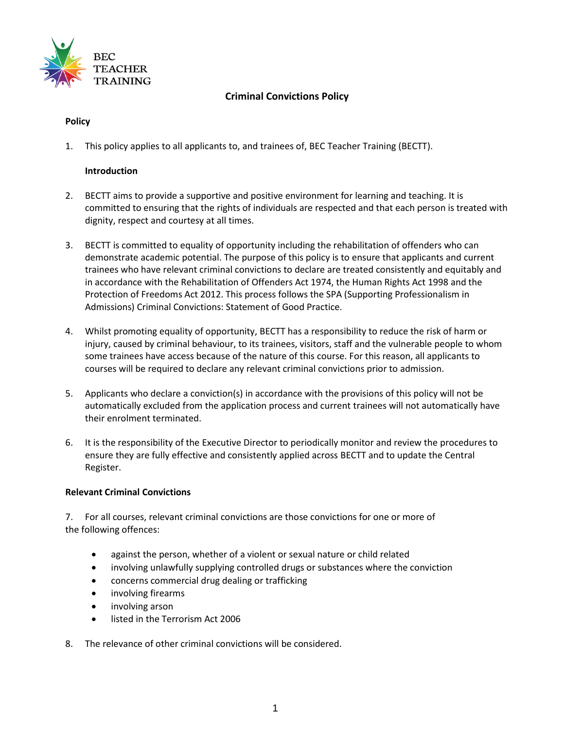

# **Criminal Convictions Policy**

# **Policy**

1. This policy applies to all applicants to, and trainees of, BEC Teacher Training (BECTT).

# **Introduction**

- 2. BECTT aims to provide a supportive and positive environment for learning and teaching. It is committed to ensuring that the rights of individuals are respected and that each person is treated with dignity, respect and courtesy at all times.
- 3. BECTT is committed to equality of opportunity including the rehabilitation of offenders who can demonstrate academic potential. The purpose of this policy is to ensure that applicants and current trainees who have relevant criminal convictions to declare are treated consistently and equitably and in accordance with the Rehabilitation of Offenders Act 1974, the Human Rights Act 1998 and the Protection of Freedoms Act 2012. This process follows the SPA (Supporting Professionalism in Admissions) Criminal Convictions: Statement of Good Practice.
- 4. Whilst promoting equality of opportunity, BECTT has a responsibility to reduce the risk of harm or injury, caused by criminal behaviour, to its trainees, visitors, staff and the vulnerable people to whom some trainees have access because of the nature of this course. For this reason, all applicants to courses will be required to declare any relevant criminal convictions prior to admission.
- 5. Applicants who declare a conviction(s) in accordance with the provisions of this policy will not be automatically excluded from the application process and current trainees will not automatically have their enrolment terminated.
- 6. It is the responsibility of the Executive Director to periodically monitor and review the procedures to ensure they are fully effective and consistently applied across BECTT and to update the Central Register.

# **Relevant Criminal Convictions**

7. For all courses, relevant criminal convictions are those convictions for one or more of the following offences:

- against the person, whether of a violent or sexual nature or child related
- involving unlawfully supplying controlled drugs or substances where the conviction
- concerns commercial drug dealing or trafficking
- involving firearms
- involving arson
- listed in the Terrorism Act 2006
- 8. The relevance of other criminal convictions will be considered.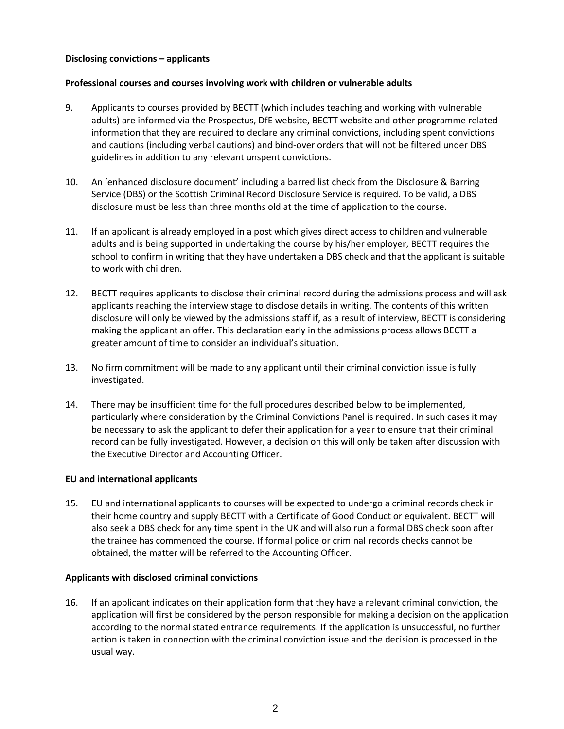# **Disclosing convictions – applicants**

# **Professional courses and courses involving work with children or vulnerable adults**

- 9. Applicants to courses provided by BECTT (which includes teaching and working with vulnerable adults) are informed via the Prospectus, DfE website, BECTT website and other programme related information that they are required to declare any criminal convictions, including spent convictions and cautions (including verbal cautions) and bind-over orders that will not be filtered under DBS guidelines in addition to any relevant unspent convictions.
- 10. An 'enhanced disclosure document' including a barred list check from the Disclosure & Barring Service (DBS) or the Scottish Criminal Record Disclosure Service is required. To be valid, a DBS disclosure must be less than three months old at the time of application to the course.
- 11. If an applicant is already employed in a post which gives direct access to children and vulnerable adults and is being supported in undertaking the course by his/her employer, BECTT requires the school to confirm in writing that they have undertaken a DBS check and that the applicant is suitable to work with children.
- 12. BECTT requires applicants to disclose their criminal record during the admissions process and will ask applicants reaching the interview stage to disclose details in writing. The contents of this written disclosure will only be viewed by the admissions staff if, as a result of interview, BECTT is considering making the applicant an offer. This declaration early in the admissions process allows BECTT a greater amount of time to consider an individual's situation.
- 13. No firm commitment will be made to any applicant until their criminal conviction issue is fully investigated.
- 14. There may be insufficient time for the full procedures described below to be implemented, particularly where consideration by the Criminal Convictions Panel is required. In such cases it may be necessary to ask the applicant to defer their application for a year to ensure that their criminal record can be fully investigated. However, a decision on this will only be taken after discussion with the Executive Director and Accounting Officer.

# **EU and international applicants**

15. EU and international applicants to courses will be expected to undergo a criminal records check in their home country and supply BECTT with a Certificate of Good Conduct or equivalent. BECTT will also seek a DBS check for any time spent in the UK and will also run a formal DBS check soon after the trainee has commenced the course. If formal police or criminal records checks cannot be obtained, the matter will be referred to the Accounting Officer.

# **Applicants with disclosed criminal convictions**

16. If an applicant indicates on their application form that they have a relevant criminal conviction, the application will first be considered by the person responsible for making a decision on the application according to the normal stated entrance requirements. If the application is unsuccessful, no further action is taken in connection with the criminal conviction issue and the decision is processed in the usual way.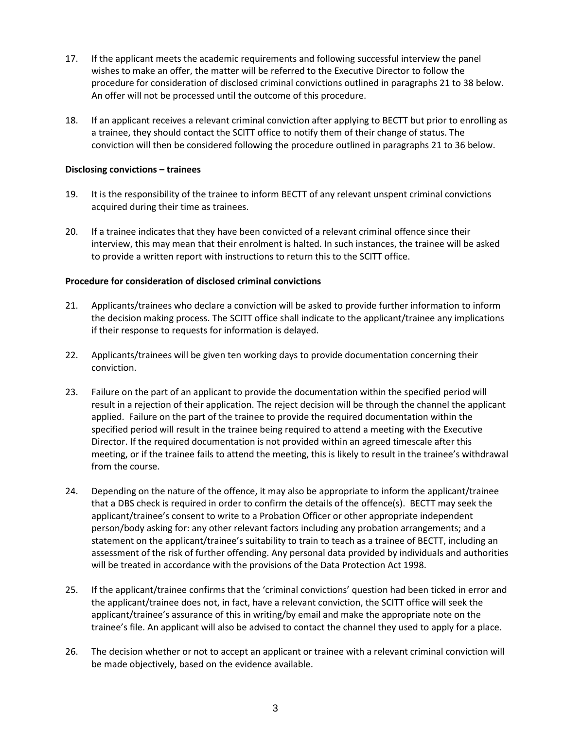- 17. If the applicant meets the academic requirements and following successful interview the panel wishes to make an offer, the matter will be referred to the Executive Director to follow the procedure for consideration of disclosed criminal convictions outlined in paragraphs 21 to 38 below. An offer will not be processed until the outcome of this procedure.
- 18. If an applicant receives a relevant criminal conviction after applying to BECTT but prior to enrolling as a trainee, they should contact the SCITT office to notify them of their change of status. The conviction will then be considered following the procedure outlined in paragraphs 21 to 36 below.

### **Disclosing convictions – trainees**

- 19. It is the responsibility of the trainee to inform BECTT of any relevant unspent criminal convictions acquired during their time as trainees.
- 20. If a trainee indicates that they have been convicted of a relevant criminal offence since their interview, this may mean that their enrolment is halted. In such instances, the trainee will be asked to provide a written report with instructions to return this to the SCITT office.

### **Procedure for consideration of disclosed criminal convictions**

- 21. Applicants/trainees who declare a conviction will be asked to provide further information to inform the decision making process. The SCITT office shall indicate to the applicant/trainee any implications if their response to requests for information is delayed.
- 22. Applicants/trainees will be given ten working days to provide documentation concerning their conviction.
- 23. Failure on the part of an applicant to provide the documentation within the specified period will result in a rejection of their application. The reject decision will be through the channel the applicant applied. Failure on the part of the trainee to provide the required documentation within the specified period will result in the trainee being required to attend a meeting with the Executive Director. If the required documentation is not provided within an agreed timescale after this meeting, or if the trainee fails to attend the meeting, this is likely to result in the trainee's withdrawal from the course.
- 24. Depending on the nature of the offence, it may also be appropriate to inform the applicant/trainee that a DBS check is required in order to confirm the details of the offence(s). BECTT may seek the applicant/trainee's consent to write to a Probation Officer or other appropriate independent person/body asking for: any other relevant factors including any probation arrangements; and a statement on the applicant/trainee's suitability to train to teach as a trainee of BECTT, including an assessment of the risk of further offending. Any personal data provided by individuals and authorities will be treated in accordance with the provisions of the Data Protection Act 1998.
- 25. If the applicant/trainee confirms that the 'criminal convictions' question had been ticked in error and the applicant/trainee does not, in fact, have a relevant conviction, the SCITT office will seek the applicant/trainee's assurance of this in writing/by email and make the appropriate note on the trainee's file. An applicant will also be advised to contact the channel they used to apply for a place.
- 26. The decision whether or not to accept an applicant or trainee with a relevant criminal conviction will be made objectively, based on the evidence available.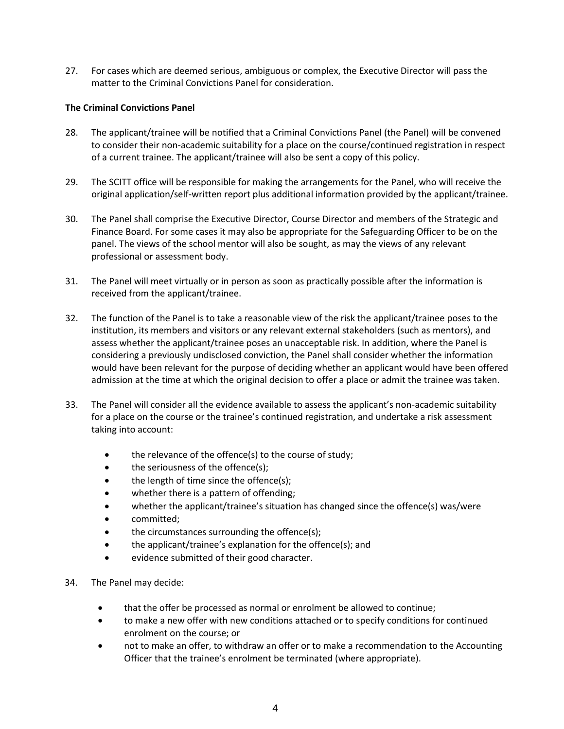27. For cases which are deemed serious, ambiguous or complex, the Executive Director will pass the matter to the Criminal Convictions Panel for consideration.

# **The Criminal Convictions Panel**

- 28. The applicant/trainee will be notified that a Criminal Convictions Panel (the Panel) will be convened to consider their non-academic suitability for a place on the course/continued registration in respect of a current trainee. The applicant/trainee will also be sent a copy of this policy.
- 29. The SCITT office will be responsible for making the arrangements for the Panel, who will receive the original application/self-written report plus additional information provided by the applicant/trainee.
- 30. The Panel shall comprise the Executive Director, Course Director and members of the Strategic and Finance Board. For some cases it may also be appropriate for the Safeguarding Officer to be on the panel. The views of the school mentor will also be sought, as may the views of any relevant professional or assessment body.
- 31. The Panel will meet virtually or in person as soon as practically possible after the information is received from the applicant/trainee.
- 32. The function of the Panel is to take a reasonable view of the risk the applicant/trainee poses to the institution, its members and visitors or any relevant external stakeholders (such as mentors), and assess whether the applicant/trainee poses an unacceptable risk. In addition, where the Panel is considering a previously undisclosed conviction, the Panel shall consider whether the information would have been relevant for the purpose of deciding whether an applicant would have been offered admission at the time at which the original decision to offer a place or admit the trainee was taken.
- 33. The Panel will consider all the evidence available to assess the applicant's non-academic suitability for a place on the course or the trainee's continued registration, and undertake a risk assessment taking into account:
	- the relevance of the offence(s) to the course of study;
	- the seriousness of the offence(s);
	- the length of time since the offence(s);
	- whether there is a pattern of offending;
	- whether the applicant/trainee's situation has changed since the offence(s) was/were
	- committed;
	- the circumstances surrounding the offence(s);
	- the applicant/trainee's explanation for the offence(s); and
	- evidence submitted of their good character.
- 34. The Panel may decide:
	- that the offer be processed as normal or enrolment be allowed to continue;
	- to make a new offer with new conditions attached or to specify conditions for continued enrolment on the course; or
	- not to make an offer, to withdraw an offer or to make a recommendation to the Accounting Officer that the trainee's enrolment be terminated (where appropriate).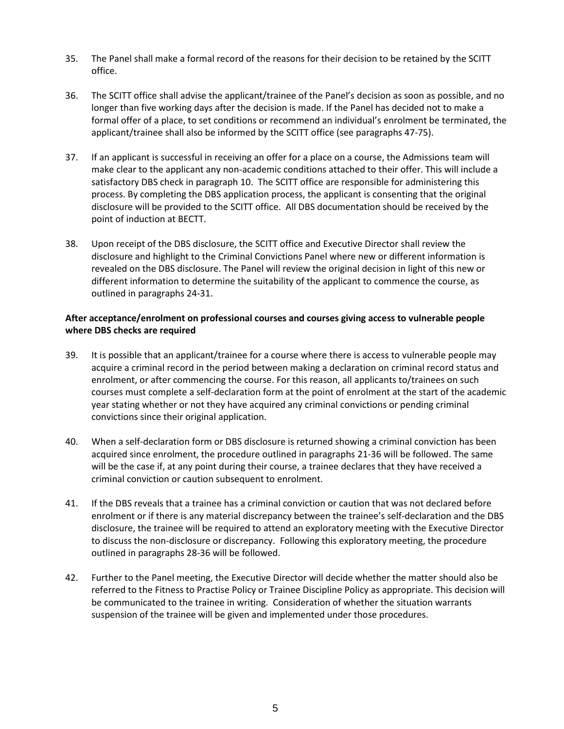- 35. The Panel shall make a formal record of the reasons for their decision to be retained by the SCITT office.
- 36. The SCITT office shall advise the applicant/trainee of the Panel's decision as soon as possible, and no longer than five working days after the decision is made. If the Panel has decided not to make a formal offer of a place, to set conditions or recommend an individual's enrolment be terminated, the applicant/trainee shall also be informed by the SCITT office (see paragraphs 47-75).
- 37. If an applicant is successful in receiving an offer for a place on a course, the Admissions team will make clear to the applicant any non-academic conditions attached to their offer. This will include a satisfactory DBS check in paragraph 10. The SCITT office are responsible for administering this process. By completing the DBS application process, the applicant is consenting that the original disclosure will be provided to the SCITT office. All DBS documentation should be received by the point of induction at BECTT.
- 38. Upon receipt of the DBS disclosure, the SCITT office and Executive Director shall review the disclosure and highlight to the Criminal Convictions Panel where new or different information is revealed on the DBS disclosure. The Panel will review the original decision in light of this new or different information to determine the suitability of the applicant to commence the course, as outlined in paragraphs 24-31.

# **After acceptance/enrolment on professional courses and courses giving access to vulnerable people where DBS checks are required**

- 39. It is possible that an applicant/trainee for a course where there is access to vulnerable people may acquire a criminal record in the period between making a declaration on criminal record status and enrolment, or after commencing the course. For this reason, all applicants to/trainees on such courses must complete a self-declaration form at the point of enrolment at the start of the academic year stating whether or not they have acquired any criminal convictions or pending criminal convictions since their original application.
- 40. When a self-declaration form or DBS disclosure is returned showing a criminal conviction has been acquired since enrolment, the procedure outlined in paragraphs 21-36 will be followed. The same will be the case if, at any point during their course, a trainee declares that they have received a criminal conviction or caution subsequent to enrolment.
- 41. If the DBS reveals that a trainee has a criminal conviction or caution that was not declared before enrolment or if there is any material discrepancy between the trainee's self-declaration and the DBS disclosure, the trainee will be required to attend an exploratory meeting with the Executive Director to discuss the non-disclosure or discrepancy. Following this exploratory meeting, the procedure outlined in paragraphs 28-36 will be followed.
- 42. Further to the Panel meeting, the Executive Director will decide whether the matter should also be referred to the Fitness to Practise Policy or Trainee Discipline Policy as appropriate. This decision will be communicated to the trainee in writing. Consideration of whether the situation warrants suspension of the trainee will be given and implemented under those procedures.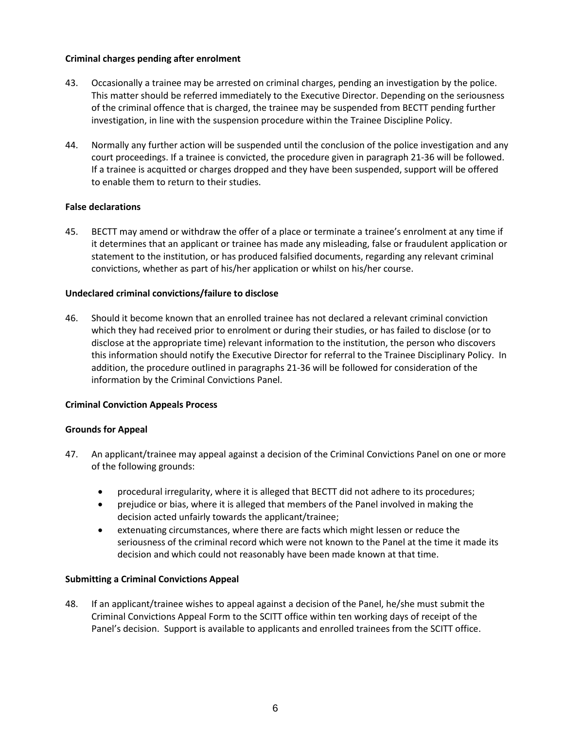# **Criminal charges pending after enrolment**

- 43. Occasionally a trainee may be arrested on criminal charges, pending an investigation by the police. This matter should be referred immediately to the Executive Director. Depending on the seriousness of the criminal offence that is charged, the trainee may be suspended from BECTT pending further investigation, in line with the suspension procedure within the Trainee Discipline Policy.
- 44. Normally any further action will be suspended until the conclusion of the police investigation and any court proceedings. If a trainee is convicted, the procedure given in paragraph 21-36 will be followed. If a trainee is acquitted or charges dropped and they have been suspended, support will be offered to enable them to return to their studies.

# **False declarations**

45. BECTT may amend or withdraw the offer of a place or terminate a trainee's enrolment at any time if it determines that an applicant or trainee has made any misleading, false or fraudulent application or statement to the institution, or has produced falsified documents, regarding any relevant criminal convictions, whether as part of his/her application or whilst on his/her course.

### **Undeclared criminal convictions/failure to disclose**

46. Should it become known that an enrolled trainee has not declared a relevant criminal conviction which they had received prior to enrolment or during their studies, or has failed to disclose (or to disclose at the appropriate time) relevant information to the institution, the person who discovers this information should notify the Executive Director for referral to the Trainee Disciplinary Policy. In addition, the procedure outlined in paragraphs 21-36 will be followed for consideration of the information by the Criminal Convictions Panel.

# **Criminal Conviction Appeals Process**

#### **Grounds for Appeal**

- 47. An applicant/trainee may appeal against a decision of the Criminal Convictions Panel on one or more of the following grounds:
	- procedural irregularity, where it is alleged that BECTT did not adhere to its procedures;
	- prejudice or bias, where it is alleged that members of the Panel involved in making the decision acted unfairly towards the applicant/trainee;
	- extenuating circumstances, where there are facts which might lessen or reduce the seriousness of the criminal record which were not known to the Panel at the time it made its decision and which could not reasonably have been made known at that time.

#### **Submitting a Criminal Convictions Appeal**

48. If an applicant/trainee wishes to appeal against a decision of the Panel, he/she must submit the Criminal Convictions Appeal Form to the SCITT office within ten working days of receipt of the Panel's decision. Support is available to applicants and enrolled trainees from the SCITT office.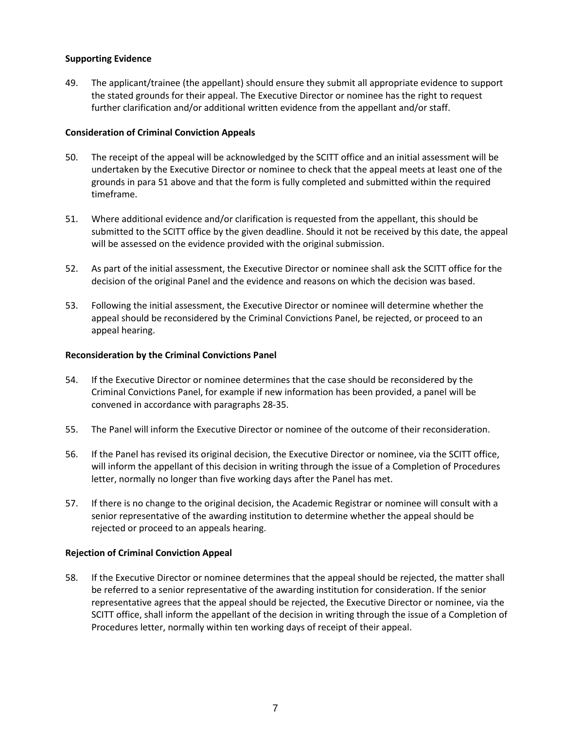# **Supporting Evidence**

49. The applicant/trainee (the appellant) should ensure they submit all appropriate evidence to support the stated grounds for their appeal. The Executive Director or nominee has the right to request further clarification and/or additional written evidence from the appellant and/or staff.

# **Consideration of Criminal Conviction Appeals**

- 50. The receipt of the appeal will be acknowledged by the SCITT office and an initial assessment will be undertaken by the Executive Director or nominee to check that the appeal meets at least one of the grounds in para 51 above and that the form is fully completed and submitted within the required timeframe.
- 51. Where additional evidence and/or clarification is requested from the appellant, this should be submitted to the SCITT office by the given deadline. Should it not be received by this date, the appeal will be assessed on the evidence provided with the original submission.
- 52. As part of the initial assessment, the Executive Director or nominee shall ask the SCITT office for the decision of the original Panel and the evidence and reasons on which the decision was based.
- 53. Following the initial assessment, the Executive Director or nominee will determine whether the appeal should be reconsidered by the Criminal Convictions Panel, be rejected, or proceed to an appeal hearing.

# **Reconsideration by the Criminal Convictions Panel**

- 54. If the Executive Director or nominee determines that the case should be reconsidered by the Criminal Convictions Panel, for example if new information has been provided, a panel will be convened in accordance with paragraphs 28-35.
- 55. The Panel will inform the Executive Director or nominee of the outcome of their reconsideration.
- 56. If the Panel has revised its original decision, the Executive Director or nominee, via the SCITT office, will inform the appellant of this decision in writing through the issue of a Completion of Procedures letter, normally no longer than five working days after the Panel has met.
- 57. If there is no change to the original decision, the Academic Registrar or nominee will consult with a senior representative of the awarding institution to determine whether the appeal should be rejected or proceed to an appeals hearing.

# **Rejection of Criminal Conviction Appeal**

58. If the Executive Director or nominee determines that the appeal should be rejected, the matter shall be referred to a senior representative of the awarding institution for consideration. If the senior representative agrees that the appeal should be rejected, the Executive Director or nominee, via the SCITT office, shall inform the appellant of the decision in writing through the issue of a Completion of Procedures letter, normally within ten working days of receipt of their appeal.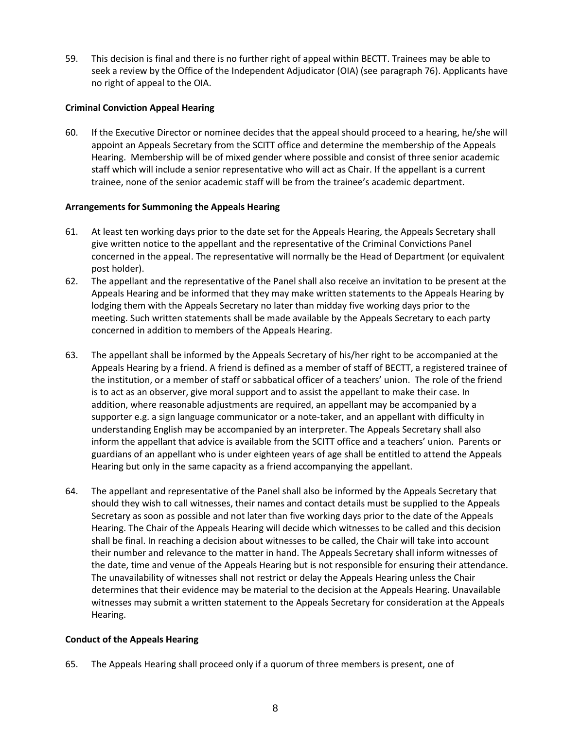59. This decision is final and there is no further right of appeal within BECTT. Trainees may be able to seek a review by the Office of the Independent Adjudicator (OIA) (see paragraph 76). Applicants have no right of appeal to the OIA.

# **Criminal Conviction Appeal Hearing**

60. If the Executive Director or nominee decides that the appeal should proceed to a hearing, he/she will appoint an Appeals Secretary from the SCITT office and determine the membership of the Appeals Hearing. Membership will be of mixed gender where possible and consist of three senior academic staff which will include a senior representative who will act as Chair. If the appellant is a current trainee, none of the senior academic staff will be from the trainee's academic department.

# **Arrangements for Summoning the Appeals Hearing**

- 61. At least ten working days prior to the date set for the Appeals Hearing, the Appeals Secretary shall give written notice to the appellant and the representative of the Criminal Convictions Panel concerned in the appeal. The representative will normally be the Head of Department (or equivalent post holder).
- 62. The appellant and the representative of the Panel shall also receive an invitation to be present at the Appeals Hearing and be informed that they may make written statements to the Appeals Hearing by lodging them with the Appeals Secretary no later than midday five working days prior to the meeting. Such written statements shall be made available by the Appeals Secretary to each party concerned in addition to members of the Appeals Hearing.
- 63. The appellant shall be informed by the Appeals Secretary of his/her right to be accompanied at the Appeals Hearing by a friend. A friend is defined as a member of staff of BECTT, a registered trainee of the institution, or a member of staff or sabbatical officer of a teachers' union. The role of the friend is to act as an observer, give moral support and to assist the appellant to make their case. In addition, where reasonable adjustments are required, an appellant may be accompanied by a supporter e.g. a sign language communicator or a note-taker, and an appellant with difficulty in understanding English may be accompanied by an interpreter. The Appeals Secretary shall also inform the appellant that advice is available from the SCITT office and a teachers' union. Parents or guardians of an appellant who is under eighteen years of age shall be entitled to attend the Appeals Hearing but only in the same capacity as a friend accompanying the appellant.
- 64. The appellant and representative of the Panel shall also be informed by the Appeals Secretary that should they wish to call witnesses, their names and contact details must be supplied to the Appeals Secretary as soon as possible and not later than five working days prior to the date of the Appeals Hearing. The Chair of the Appeals Hearing will decide which witnesses to be called and this decision shall be final. In reaching a decision about witnesses to be called, the Chair will take into account their number and relevance to the matter in hand. The Appeals Secretary shall inform witnesses of the date, time and venue of the Appeals Hearing but is not responsible for ensuring their attendance. The unavailability of witnesses shall not restrict or delay the Appeals Hearing unless the Chair determines that their evidence may be material to the decision at the Appeals Hearing. Unavailable witnesses may submit a written statement to the Appeals Secretary for consideration at the Appeals Hearing.

# **Conduct of the Appeals Hearing**

65. The Appeals Hearing shall proceed only if a quorum of three members is present, one of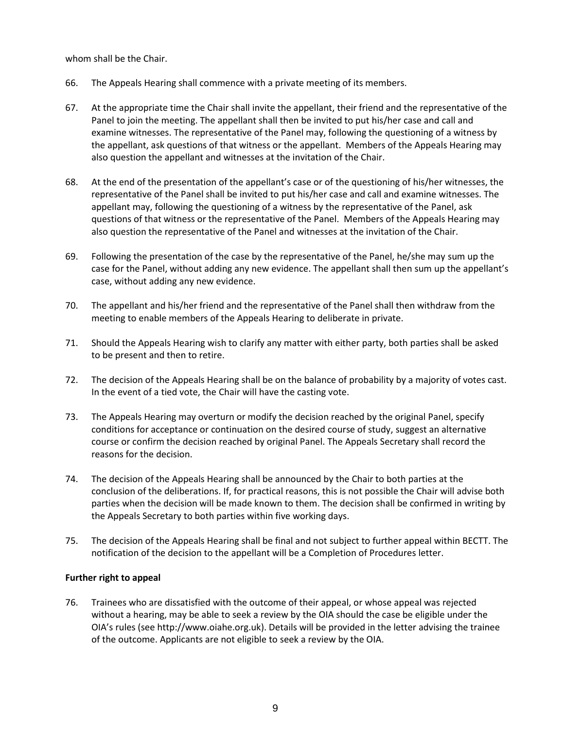whom shall be the Chair.

- 66. The Appeals Hearing shall commence with a private meeting of its members.
- 67. At the appropriate time the Chair shall invite the appellant, their friend and the representative of the Panel to join the meeting. The appellant shall then be invited to put his/her case and call and examine witnesses. The representative of the Panel may, following the questioning of a witness by the appellant, ask questions of that witness or the appellant. Members of the Appeals Hearing may also question the appellant and witnesses at the invitation of the Chair.
- 68. At the end of the presentation of the appellant's case or of the questioning of his/her witnesses, the representative of the Panel shall be invited to put his/her case and call and examine witnesses. The appellant may, following the questioning of a witness by the representative of the Panel, ask questions of that witness or the representative of the Panel. Members of the Appeals Hearing may also question the representative of the Panel and witnesses at the invitation of the Chair.
- 69. Following the presentation of the case by the representative of the Panel, he/she may sum up the case for the Panel, without adding any new evidence. The appellant shall then sum up the appellant's case, without adding any new evidence.
- 70. The appellant and his/her friend and the representative of the Panel shall then withdraw from the meeting to enable members of the Appeals Hearing to deliberate in private.
- 71. Should the Appeals Hearing wish to clarify any matter with either party, both parties shall be asked to be present and then to retire.
- 72. The decision of the Appeals Hearing shall be on the balance of probability by a majority of votes cast. In the event of a tied vote, the Chair will have the casting vote.
- 73. The Appeals Hearing may overturn or modify the decision reached by the original Panel, specify conditions for acceptance or continuation on the desired course of study, suggest an alternative course or confirm the decision reached by original Panel. The Appeals Secretary shall record the reasons for the decision.
- 74. The decision of the Appeals Hearing shall be announced by the Chair to both parties at the conclusion of the deliberations. If, for practical reasons, this is not possible the Chair will advise both parties when the decision will be made known to them. The decision shall be confirmed in writing by the Appeals Secretary to both parties within five working days.
- 75. The decision of the Appeals Hearing shall be final and not subject to further appeal within BECTT. The notification of the decision to the appellant will be a Completion of Procedures letter.

# **Further right to appeal**

76. Trainees who are dissatisfied with the outcome of their appeal, or whose appeal was rejected without a hearing, may be able to seek a review by the OIA should the case be eligible under the OIA's rules (see http://www.oiahe.org.uk). Details will be provided in the letter advising the trainee of the outcome. Applicants are not eligible to seek a review by the OIA.